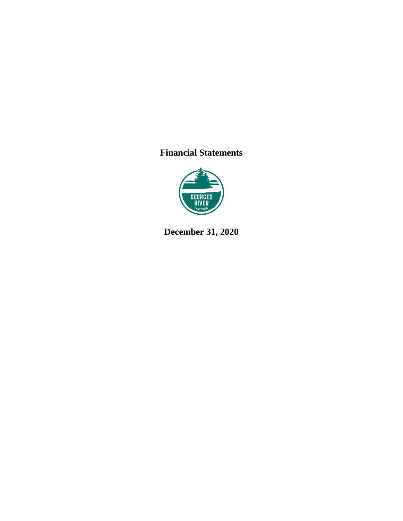## **Financial Statements**



**December 31, 2020**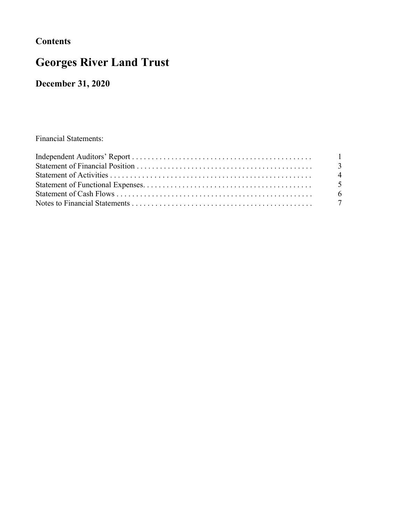## **Contents**

# Georges River Land Trust

December 31, 2020

Financial Statements: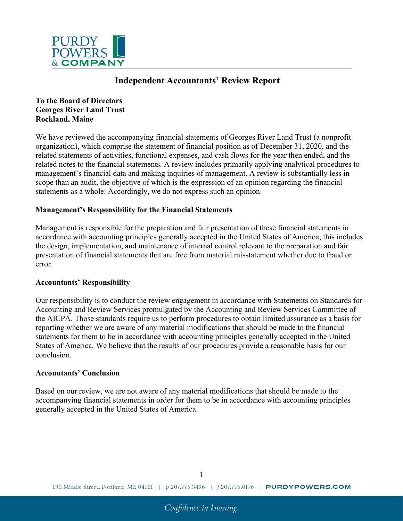

### Independent Accountants' Review Report

To the Board of Directors Georges River Land Trust Rockland, Maine

We have reviewed the accompanying financial statements of Georges River Land Trust (a nonprofit organization), which comprise the statement of financial position as of December 31, 2020, and the related statements of activities, functional expenses, and cash flows for the year then ended, and the related notes to the financial statements. A review includes primarily applying analytical procedures to management's financial data and making inquiries of management. A review is substantially less in scope than an audit, the objective of which is the expression of an opinion regarding the financial statements as a whole. Accordingly, we do not express such an opinion.

#### Management's Responsibility for the Financial Statements

Management is responsible for the preparation and fair presentation of these financial statements in accordance with accounting principles generally accepted in the United States of America; this includes the design, implementation, and maintenance of internal control relevant to the preparation and fair presentation of financial statements that are free from material misstatement whether due to fraud or error.

#### Accountants' Responsibility

Our responsibility is to conduct the review engagement in accordance with Statements on Standards for Accounting and Review Services promulgated by the Accounting and Review Services Committee of the AICPA. Those standards require us to perform procedures to obtain limited assurance as a basis for reporting whether we are aware of any material modifications that should be made to the financial statements for them to be in accordance with accounting principles generally accepted in the United States of America. We believe that the results of our procedures provide a reasonable basis for our conclusion.

#### Accountants' Conclusion

Based on our review, we are not aware of any material modifications that should be made to the accompanying financial statements in order for them to be in accordance with accounting principles generally accepted in the United States of America.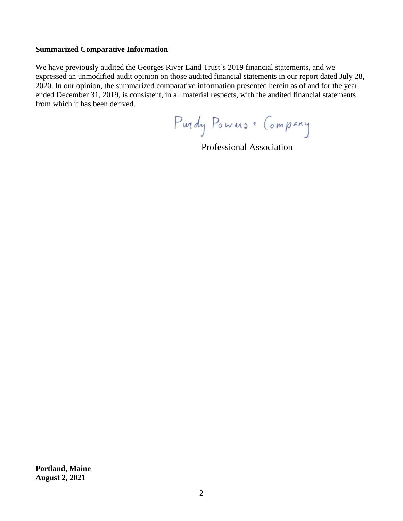#### **Summarized Comparative Information**

We have previously audited the Georges River Land Trust's 2019 financial statements, and we expressed an unmodified audit opinion on those audited financial statements in our report dated July 28, 2020. In our opinion, the summarized comparative information presented herein as of and for the year ended December 31, 2019, is consistent, in all material respects, with the audited financial statements from which it has been derived.

Purdy Powns . Company

Professional Association

**Portland, Maine August 2, 2021**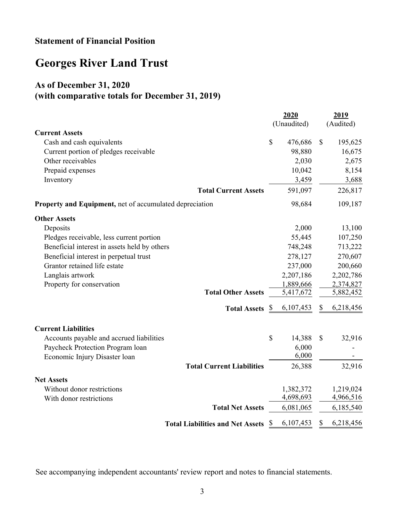### Statement of Financial Position

# Georges River Land Trust

## As of December 31, 2020 (with comparative totals for December 31, 2019)

|                                                                |              | 2020<br>(Unaudited) | 2019<br>(Audited) |           |
|----------------------------------------------------------------|--------------|---------------------|-------------------|-----------|
| <b>Current Assets</b>                                          |              |                     |                   |           |
| Cash and cash equivalents                                      | $\mathbb{S}$ | 476,686             | $\mathcal{S}$     | 195,625   |
| Current portion of pledges receivable                          |              | 98,880              |                   | 16,675    |
| Other receivables                                              |              | 2,030               |                   | 2,675     |
| Prepaid expenses                                               |              | 10,042              |                   | 8,154     |
| Inventory                                                      |              | 3,459               |                   | 3,688     |
| <b>Total Current Assets</b>                                    |              | 591,097             |                   | 226,817   |
| <b>Property and Equipment, net of accumulated depreciation</b> |              | 98,684              |                   | 109,187   |
| <b>Other Assets</b>                                            |              |                     |                   |           |
| Deposits                                                       |              | 2,000               |                   | 13,100    |
| Pledges receivable, less current portion                       |              | 55,445              |                   | 107,250   |
| Beneficial interest in assets held by others                   |              | 748,248             |                   | 713,222   |
| Beneficial interest in perpetual trust                         |              | 278,127             |                   | 270,607   |
| Grantor retained life estate                                   |              | 237,000             |                   | 200,660   |
| Langlais artwork                                               |              | 2,207,186           |                   | 2,202,786 |
| Property for conservation                                      |              | 1,889,666           |                   | 2,374,827 |
| <b>Total Other Assets</b>                                      |              | 5,417,672           |                   | 5,882,452 |
| <b>Total Assets</b> <u>§</u>                                   |              | 6,107,453           | \$                | 6,218,456 |
| <b>Current Liabilities</b>                                     |              |                     |                   |           |
| Accounts payable and accrued liabilities                       | $\mathbb{S}$ | 14,388              | \$                | 32,916    |
| Paycheck Protection Program loan                               |              | 6,000               |                   |           |
| Economic Injury Disaster loan                                  |              | 6,000               |                   |           |
| <b>Total Current Liabilities</b>                               |              | 26,388              |                   | 32,916    |
| <b>Net Assets</b>                                              |              |                     |                   |           |
| Without donor restrictions                                     |              | 1,382,372           |                   | 1,219,024 |
| With donor restrictions                                        |              | 4,698,693           |                   | 4,966,516 |
| <b>Total Net Assets</b>                                        |              | 6,081,065           |                   | 6,185,540 |
| <b>Total Liabilities and Net Assets</b>                        | <sup>2</sup> | 6,107,453           | \$                | 6,218,456 |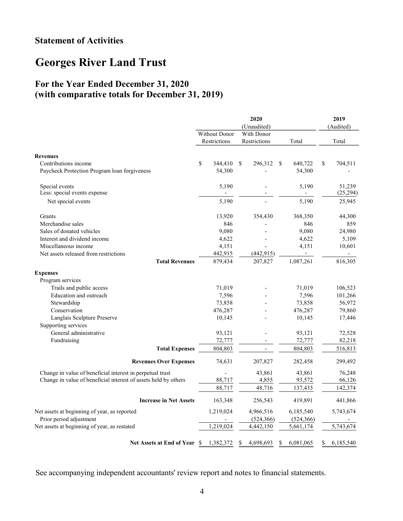## Statement of Activities

## Georges River Land Trust

### For the Year Ended December 31, 2020 (with comparative totals for December 31, 2019)

|                                                                 |                          | 2020<br>(Unaudited) |                          |                 |  |  |  |
|-----------------------------------------------------------------|--------------------------|---------------------|--------------------------|-----------------|--|--|--|
|                                                                 | <b>Without Donor</b>     | With Donor          |                          |                 |  |  |  |
|                                                                 | Restrictions             | Restrictions        | Total                    | Total           |  |  |  |
| <b>Revenues</b>                                                 |                          |                     |                          |                 |  |  |  |
| Contributions income                                            | \$<br>344,410            | \$<br>296,312       | 640,722<br>S             | \$<br>704,511   |  |  |  |
| Paycheck Protection Program loan forgiveness                    | 54,300                   |                     | 54,300                   |                 |  |  |  |
| Special events                                                  | 5,190                    |                     | 5,190                    | 51,239          |  |  |  |
| Less: special events expense                                    | $\overline{\phantom{a}}$ |                     | $\overline{\phantom{a}}$ | (25, 294)       |  |  |  |
| Net special events                                              | 5,190                    |                     | 5,190                    | 25,945          |  |  |  |
| <b>Grants</b>                                                   | 13,920                   | 354,430             | 368,350                  | 44,300          |  |  |  |
| Merchandise sales                                               |                          | 846                 | 846                      | 859             |  |  |  |
| Sales of donated vehicles                                       | 9,080                    |                     | 9,080                    | 24,980          |  |  |  |
| Interest and dividend income                                    | 4,622                    |                     | 4,622                    | 5,109           |  |  |  |
| Miscellaneous income                                            | 4,151                    |                     | 4,151                    | 10,601          |  |  |  |
| Net assets released from restrictions                           | 442,915                  | (442, 915)          | $\sim$                   |                 |  |  |  |
| <b>Total Revenues</b>                                           | 879,434                  | 207,827             | 1,087,261                | 816,305         |  |  |  |
| <b>Expenses</b>                                                 |                          |                     |                          |                 |  |  |  |
| Program services                                                |                          |                     |                          |                 |  |  |  |
| Trails and public access                                        | 71,019                   |                     | 71,019                   | 106,523         |  |  |  |
| Education and outreach                                          | 7,596                    |                     | 7,596                    | 101,266         |  |  |  |
| Stewardship                                                     | 73,858                   |                     | 73,858                   | 56,972          |  |  |  |
| Conservation                                                    | 476,287                  |                     | 476,287                  | 79,860          |  |  |  |
| Langlais Sculpture Preserve                                     | 10,145                   |                     | 10,145                   | 17,446          |  |  |  |
| Supporting services                                             |                          |                     |                          |                 |  |  |  |
| General administrative                                          | 93,121                   |                     | 93,121                   | 72,528          |  |  |  |
| Fundraising                                                     | 72,777                   |                     | 72,777                   | 82,218          |  |  |  |
| <b>Total Expenses</b>                                           | 804,803                  |                     | 804,803                  | 516,813         |  |  |  |
| <b>Revenues Over Expenses</b>                                   | 74,631                   | 207,827             | 282,458                  | 299,492         |  |  |  |
| Change in value of beneficial interest in perpetual trust       |                          | 43,861              | 43,861                   | 76,248          |  |  |  |
| Change in value of beneficial interest of assets held by others | 88,717                   | 4,855               | 93,572                   | 66,126          |  |  |  |
|                                                                 | 88,717                   | 48,716              | 137,433                  | 142,374         |  |  |  |
| <b>Increase in Net Assets</b>                                   | 163,348                  | 256,543             | 419,891                  | 441,866         |  |  |  |
| Net assets at beginning of year, as reported                    | 1,219,024                | 4,966,516           | 6,185,540                | 5,743,674       |  |  |  |
| Prior period adjustment                                         |                          | (524, 366)          | (524, 366)               |                 |  |  |  |
| Net assets at beginning of year, as restated                    | 1,219,024                | 4,442,150           | 5,661,174                | 5,743,674       |  |  |  |
| Net Assets at End of Year \$                                    | 1,382,372                | 4,698,693<br>\$     | 6,081,065<br>S           | \$<br>6,185,540 |  |  |  |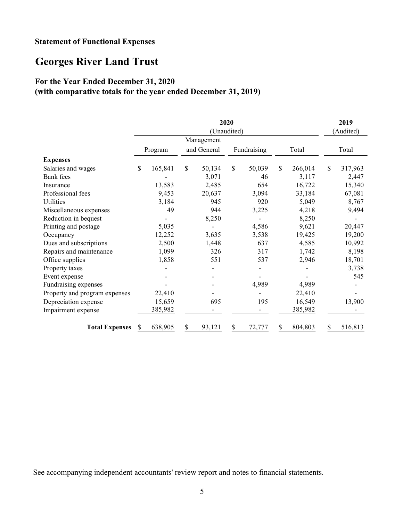### Statement of Functional Expenses

## Georges River Land Trust

### For the Year Ended December 31, 2020

### (with comparative totals for the year ended December 31, 2019)

| 2020                          |               |         |    |             |    |             |               |           | 2019          |         |
|-------------------------------|---------------|---------|----|-------------|----|-------------|---------------|-----------|---------------|---------|
|                               | (Unaudited)   |         |    |             |    |             |               | (Audited) |               |         |
|                               |               |         |    | Management  |    |             |               |           |               |         |
|                               |               | Program |    | and General |    | Fundraising |               | Total     |               | Total   |
| <b>Expenses</b>               |               |         |    |             |    |             |               |           |               |         |
| Salaries and wages            | $\mathcal{S}$ | 165,841 | \$ | 50,134      | \$ | 50,039      | $\mathcal{S}$ | 266,014   | $\mathcal{S}$ | 317,963 |
| <b>Bank</b> fees              |               |         |    | 3,071       |    | 46          |               | 3,117     |               | 2,447   |
| Insurance                     |               | 13,583  |    | 2,485       |    | 654         |               | 16,722    |               | 15,340  |
| Professional fees             |               | 9,453   |    | 20,637      |    | 3,094       |               | 33,184    |               | 67,081  |
| Utilities                     |               | 3,184   |    | 945         |    | 920         |               | 5,049     |               | 8,767   |
| Miscellaneous expenses        |               | 49      |    | 944         |    | 3,225       |               | 4,218     |               | 9,494   |
| Reduction in bequest          |               |         |    | 8,250       |    |             |               | 8,250     |               |         |
| Printing and postage          |               | 5,035   |    |             |    | 4,586       |               | 9,621     |               | 20,447  |
| Occupancy                     |               | 12,252  |    | 3,635       |    | 3,538       |               | 19,425    |               | 19,200  |
| Dues and subscriptions        |               | 2,500   |    | 1,448       |    | 637         |               | 4,585     |               | 10,992  |
| Repairs and maintenance       |               | 1,099   |    | 326         |    | 317         |               | 1,742     |               | 8,198   |
| Office supplies               |               | 1,858   |    | 551         |    | 537         |               | 2,946     |               | 18,701  |
| Property taxes                |               |         |    |             |    |             |               |           |               | 3,738   |
| Event expense                 |               |         |    |             |    |             |               |           |               | 545     |
| Fundraising expenses          |               |         |    |             |    | 4,989       |               | 4,989     |               |         |
| Property and program expenses |               | 22,410  |    |             |    |             |               | 22,410    |               |         |
| Depreciation expense          |               | 15,659  |    | 695         |    | 195         |               | 16,549    |               | 13,900  |
| Impairment expense            |               | 385,982 |    |             |    |             |               | 385,982   |               |         |
| <b>Total Expenses</b>         | \$            | 638,905 | \$ | 93,121      | \$ | 72,777      | \$            | 804,803   | \$            | 516,813 |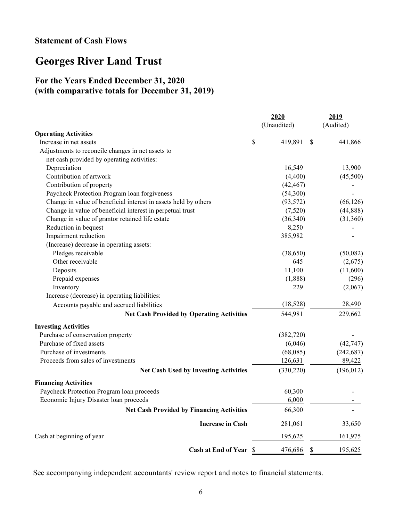### Statement of Cash Flows

## Georges River Land Trust

### For the Years Ended December 31, 2020 (with comparative totals for December 31, 2019)

|                                                                 | 2020          |    | 2019       |
|-----------------------------------------------------------------|---------------|----|------------|
|                                                                 | (Unaudited)   |    | (Audited)  |
| <b>Operating Activities</b>                                     |               |    |            |
| Increase in net assets                                          | \$<br>419,891 | S  | 441,866    |
| Adjustments to reconcile changes in net assets to               |               |    |            |
| net cash provided by operating activities:                      |               |    |            |
| Depreciation                                                    | 16,549        |    | 13,900     |
| Contribution of artwork                                         | (4,400)       |    | (45,500)   |
| Contribution of property                                        | (42, 467)     |    |            |
| Paycheck Protection Program loan forgiveness                    | (54,300)      |    |            |
| Change in value of beneficial interest in assets held by others | (93, 572)     |    | (66, 126)  |
| Change in value of beneficial interest in perpetual trust       | (7,520)       |    | (44,888)   |
| Change in value of grantor retained life estate                 | (36,340)      |    | (31,360)   |
| Reduction in bequest                                            | 8,250         |    |            |
| Impairment reduction                                            | 385,982       |    |            |
| (Increase) decrease in operating assets:                        |               |    |            |
| Pledges receivable                                              | (38,650)      |    | (50,082)   |
| Other receivable                                                | 645           |    | (2,675)    |
| Deposits                                                        | 11,100        |    | (11,600)   |
| Prepaid expenses                                                | (1,888)       |    | (296)      |
| Inventory                                                       | 229           |    | (2,067)    |
| Increase (decrease) in operating liabilities:                   |               |    |            |
| Accounts payable and accrued liabilities                        | (18, 528)     |    | 28,490     |
| <b>Net Cash Provided by Operating Activities</b>                | 544,981       |    | 229,662    |
| <b>Investing Activities</b>                                     |               |    |            |
| Purchase of conservation property                               | (382, 720)    |    |            |
| Purchase of fixed assets                                        | (6,046)       |    | (42, 747)  |
| Purchase of investments                                         | (68,085)      |    | (242, 687) |
| Proceeds from sales of investments                              | 126,631       |    | 89,422     |
| <b>Net Cash Used by Investing Activities</b>                    | (330, 220)    |    | (196, 012) |
| <b>Financing Activities</b>                                     |               |    |            |
| Paycheck Protection Program loan proceeds                       | 60,300        |    |            |
| Economic Injury Disaster loan proceeds                          | 6,000         |    |            |
| <b>Net Cash Provided by Financing Activities</b>                | 66,300        |    |            |
| <b>Increase in Cash</b>                                         | 281,061       |    | 33,650     |
| Cash at beginning of year                                       | 195,625       |    | 161,975    |
| <b>Cash at End of Year \$</b>                                   | 476,686       | \$ | 195,625    |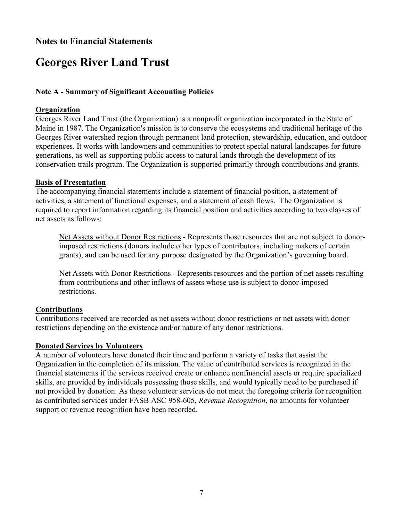### Notes to Financial Statements

## Georges River Land Trust

#### Note A - Summary of Significant Accounting Policies

#### **Organization**

Georges River Land Trust (the Organization) is a nonprofit organization incorporated in the State of Maine in 1987. The Organization's mission is to conserve the ecosystems and traditional heritage of the Georges River watershed region through permanent land protection, stewardship, education, and outdoor experiences. It works with landowners and communities to protect special natural landscapes for future generations, as well as supporting public access to natural lands through the development of its conservation trails program. The Organization is supported primarily through contributions and grants.

#### Basis of Presentation

The accompanying financial statements include a statement of financial position, a statement of activities, a statement of functional expenses, and a statement of cash flows. The Organization is required to report information regarding its financial position and activities according to two classes of net assets as follows:

Net Assets without Donor Restrictions - Represents those resources that are not subject to donorimposed restrictions (donors include other types of contributors, including makers of certain grants), and can be used for any purpose designated by the Organization's governing board.

Net Assets with Donor Restrictions - Represents resources and the portion of net assets resulting from contributions and other inflows of assets whose use is subject to donor-imposed restrictions.

#### Contributions

Contributions received are recorded as net assets without donor restrictions or net assets with donor restrictions depending on the existence and/or nature of any donor restrictions.

#### Donated Services by Volunteers

A number of volunteers have donated their time and perform a variety of tasks that assist the Organization in the completion of its mission. The value of contributed services is recognized in the financial statements if the services received create or enhance nonfinancial assets or require specialized skills, are provided by individuals possessing those skills, and would typically need to be purchased if not provided by donation. As these volunteer services do not meet the foregoing criteria for recognition as contributed services under FASB ASC 958-605, Revenue Recognition, no amounts for volunteer support or revenue recognition have been recorded.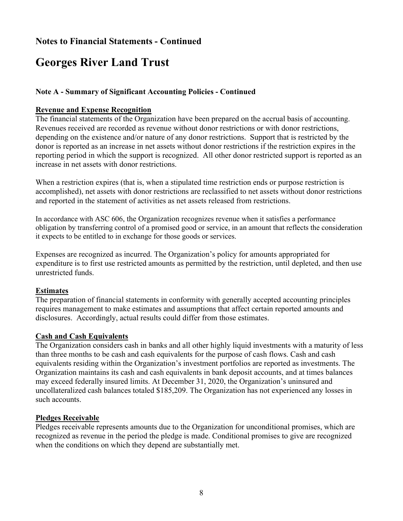## Georges River Land Trust

#### Note A - Summary of Significant Accounting Policies - Continued

#### Revenue and Expense Recognition

The financial statements of the Organization have been prepared on the accrual basis of accounting. Revenues received are recorded as revenue without donor restrictions or with donor restrictions, depending on the existence and/or nature of any donor restrictions. Support that is restricted by the donor is reported as an increase in net assets without donor restrictions if the restriction expires in the reporting period in which the support is recognized. All other donor restricted support is reported as an increase in net assets with donor restrictions.

When a restriction expires (that is, when a stipulated time restriction ends or purpose restriction is accomplished), net assets with donor restrictions are reclassified to net assets without donor restrictions and reported in the statement of activities as net assets released from restrictions.

In accordance with ASC 606, the Organization recognizes revenue when it satisfies a performance obligation by transferring control of a promised good or service, in an amount that reflects the consideration it expects to be entitled to in exchange for those goods or services.

Expenses are recognized as incurred. The Organization's policy for amounts appropriated for expenditure is to first use restricted amounts as permitted by the restriction, until depleted, and then use unrestricted funds.

#### Estimates

The preparation of financial statements in conformity with generally accepted accounting principles requires management to make estimates and assumptions that affect certain reported amounts and disclosures. Accordingly, actual results could differ from those estimates.

#### Cash and Cash Equivalents

The Organization considers cash in banks and all other highly liquid investments with a maturity of less than three months to be cash and cash equivalents for the purpose of cash flows. Cash and cash equivalents residing within the Organization's investment portfolios are reported as investments. The Organization maintains its cash and cash equivalents in bank deposit accounts, and at times balances may exceed federally insured limits. At December 31, 2020, the Organization's uninsured and uncollateralized cash balances totaled \$185,209. The Organization has not experienced any losses in such accounts.

#### Pledges Receivable

Pledges receivable represents amounts due to the Organization for unconditional promises, which are recognized as revenue in the period the pledge is made. Conditional promises to give are recognized when the conditions on which they depend are substantially met.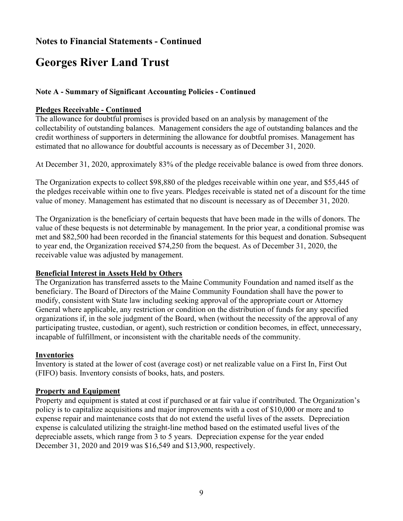## Georges River Land Trust

#### Note A - Summary of Significant Accounting Policies - Continued

#### Pledges Receivable - Continued

The allowance for doubtful promises is provided based on an analysis by management of the collectability of outstanding balances. Management considers the age of outstanding balances and the credit worthiness of supporters in determining the allowance for doubtful promises. Management has estimated that no allowance for doubtful accounts is necessary as of December 31, 2020.

At December 31, 2020, approximately 83% of the pledge receivable balance is owed from three donors.

The Organization expects to collect \$98,880 of the pledges receivable within one year, and \$55,445 of the pledges receivable within one to five years. Pledges receivable is stated net of a discount for the time value of money. Management has estimated that no discount is necessary as of December 31, 2020.

The Organization is the beneficiary of certain bequests that have been made in the wills of donors. The value of these bequests is not determinable by management. In the prior year, a conditional promise was met and \$82,500 had been recorded in the financial statements for this bequest and donation. Subsequent to year end, the Organization received \$74,250 from the bequest. As of December 31, 2020, the receivable value was adjusted by management.

#### Beneficial Interest in Assets Held by Others

The Organization has transferred assets to the Maine Community Foundation and named itself as the beneficiary. The Board of Directors of the Maine Community Foundation shall have the power to modify, consistent with State law including seeking approval of the appropriate court or Attorney General where applicable, any restriction or condition on the distribution of funds for any specified organizations if, in the sole judgment of the Board, when (without the necessity of the approval of any participating trustee, custodian, or agent), such restriction or condition becomes, in effect, unnecessary, incapable of fulfillment, or inconsistent with the charitable needs of the community.

#### Inventories

Inventory is stated at the lower of cost (average cost) or net realizable value on a First In, First Out (FIFO) basis. Inventory consists of books, hats, and posters.

#### Property and Equipment

Property and equipment is stated at cost if purchased or at fair value if contributed. The Organization's policy is to capitalize acquisitions and major improvements with a cost of \$10,000 or more and to expense repair and maintenance costs that do not extend the useful lives of the assets. Depreciation expense is calculated utilizing the straight-line method based on the estimated useful lives of the depreciable assets, which range from 3 to 5 years. Depreciation expense for the year ended December 31, 2020 and 2019 was \$16,549 and \$13,900, respectively.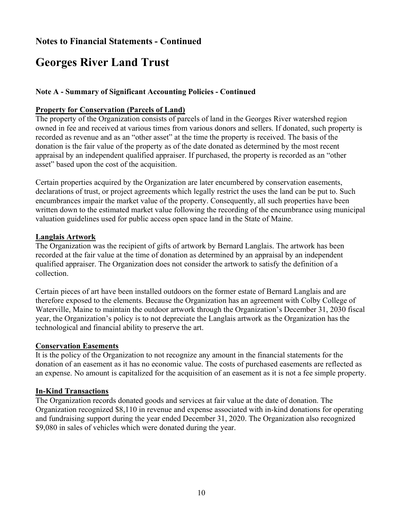## Georges River Land Trust

#### Note A - Summary of Significant Accounting Policies - Continued

#### Property for Conservation (Parcels of Land)

The property of the Organization consists of parcels of land in the Georges River watershed region owned in fee and received at various times from various donors and sellers. If donated, such property is recorded as revenue and as an "other asset" at the time the property is received. The basis of the donation is the fair value of the property as of the date donated as determined by the most recent appraisal by an independent qualified appraiser. If purchased, the property is recorded as an "other asset" based upon the cost of the acquisition.

Certain properties acquired by the Organization are later encumbered by conservation easements, declarations of trust, or project agreements which legally restrict the uses the land can be put to. Such encumbrances impair the market value of the property. Consequently, all such properties have been written down to the estimated market value following the recording of the encumbrance using municipal valuation guidelines used for public access open space land in the State of Maine.

#### Langlais Artwork

The Organization was the recipient of gifts of artwork by Bernard Langlais. The artwork has been recorded at the fair value at the time of donation as determined by an appraisal by an independent qualified appraiser. The Organization does not consider the artwork to satisfy the definition of a collection.

Certain pieces of art have been installed outdoors on the former estate of Bernard Langlais and are therefore exposed to the elements. Because the Organization has an agreement with Colby College of Waterville, Maine to maintain the outdoor artwork through the Organization's December 31, 2030 fiscal year, the Organization's policy is to not depreciate the Langlais artwork as the Organization has the technological and financial ability to preserve the art.

#### Conservation Easements

It is the policy of the Organization to not recognize any amount in the financial statements for the donation of an easement as it has no economic value. The costs of purchased easements are reflected as an expense. No amount is capitalized for the acquisition of an easement as it is not a fee simple property.

#### In-Kind Transactions

The Organization records donated goods and services at fair value at the date of donation. The Organization recognized \$8,110 in revenue and expense associated with in-kind donations for operating and fundraising support during the year ended December 31, 2020. The Organization also recognized \$9,080 in sales of vehicles which were donated during the year.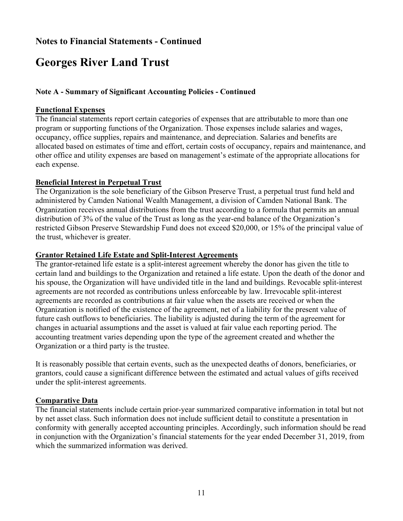## Georges River Land Trust

#### Note A - Summary of Significant Accounting Policies - Continued

#### Functional Expenses

The financial statements report certain categories of expenses that are attributable to more than one program or supporting functions of the Organization. Those expenses include salaries and wages, occupancy, office supplies, repairs and maintenance, and depreciation. Salaries and benefits are allocated based on estimates of time and effort, certain costs of occupancy, repairs and maintenance, and other office and utility expenses are based on management's estimate of the appropriate allocations for each expense.

#### Beneficial Interest in Perpetual Trust

The Organization is the sole beneficiary of the Gibson Preserve Trust, a perpetual trust fund held and administered by Camden National Wealth Management, a division of Camden National Bank. The Organization receives annual distributions from the trust according to a formula that permits an annual distribution of 3% of the value of the Trust as long as the year-end balance of the Organization's restricted Gibson Preserve Stewardship Fund does not exceed \$20,000, or 15% of the principal value of the trust, whichever is greater.

#### Grantor Retained Life Estate and Split-Interest Agreements

The grantor-retained life estate is a split-interest agreement whereby the donor has given the title to certain land and buildings to the Organization and retained a life estate. Upon the death of the donor and his spouse, the Organization will have undivided title in the land and buildings. Revocable split-interest agreements are not recorded as contributions unless enforceable by law. Irrevocable split-interest agreements are recorded as contributions at fair value when the assets are received or when the Organization is notified of the existence of the agreement, net of a liability for the present value of future cash outflows to beneficiaries. The liability is adjusted during the term of the agreement for changes in actuarial assumptions and the asset is valued at fair value each reporting period. The accounting treatment varies depending upon the type of the agreement created and whether the Organization or a third party is the trustee.

It is reasonably possible that certain events, such as the unexpected deaths of donors, beneficiaries, or grantors, could cause a significant difference between the estimated and actual values of gifts received under the split-interest agreements.

#### Comparative Data

The financial statements include certain prior-year summarized comparative information in total but not by net asset class. Such information does not include sufficient detail to constitute a presentation in conformity with generally accepted accounting principles. Accordingly, such information should be read in conjunction with the Organization's financial statements for the year ended December 31, 2019, from which the summarized information was derived.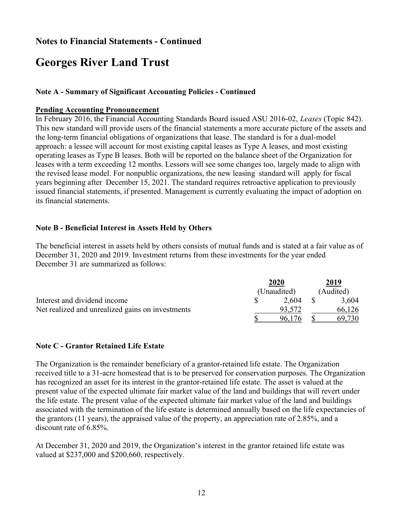## Georges River Land Trust

#### Note A - Summary of Significant Accounting Policies - Continued

#### Pending Accounting Pronouncement

In February 2016, the Financial Accounting Standards Board issued ASU 2016-02, Leases (Topic 842). This new standard will provide users of the financial statements a more accurate picture of the assets and the long-term financial obligations of organizations that lease. The standard is for a dual-model approach: a lessee will account for most existing capital leases as Type A leases, and most existing operating leases as Type B leases. Both will be reported on the balance sheet of the Organization for leases with a term exceeding 12 months. Lessors will see some changes too, largely made to align with the revised lease model. For nonpublic organizations, the new leasing standard will apply for fiscal years beginning after December 15, 2021. The standard requires retroactive application to previously issued financial statements, if presented. Management is currently evaluating the impact of adoption on its financial statements.

#### Note B - Beneficial Interest in Assets Held by Others

The beneficial interest in assets held by others consists of mutual funds and is stated at a fair value as of December 31, 2020 and 2019. Investment returns from these investments for the year ended December 31 are summarized as follows:

|                                                  | 2020        |  | 2019      |
|--------------------------------------------------|-------------|--|-----------|
|                                                  | (Unaudited) |  | (Audited) |
| Interest and dividend income                     | 2.604       |  | 3,604     |
| Net realized and unrealized gains on investments | 93.572      |  | 66,126    |
|                                                  | 96,176      |  | 69,730    |

#### Note C - Grantor Retained Life Estate

The Organization is the remainder beneficiary of a grantor-retained life estate. The Organization received title to a 31-acre homestead that is to be preserved for conservation purposes. The Organization has recognized an asset for its interest in the grantor-retained life estate. The asset is valued at the present value of the expected ultimate fair market value of the land and buildings that will revert under the life estate. The present value of the expected ultimate fair market value of the land and buildings associated with the termination of the life estate is determined annually based on the life expectancies of the grantors (11 years), the appraised value of the property, an appreciation rate of 2.85%, and a discount rate of 6.85%.

At December 31, 2020 and 2019, the Organization's interest in the grantor retained life estate was valued at \$237,000 and \$200,660, respectively.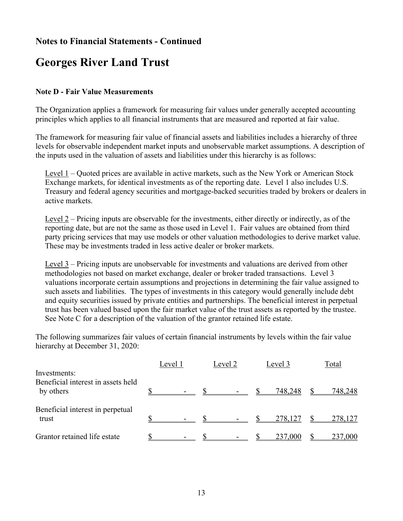## Georges River Land Trust

#### Note D - Fair Value Measurements

The Organization applies a framework for measuring fair values under generally accepted accounting principles which applies to all financial instruments that are measured and reported at fair value.

The framework for measuring fair value of financial assets and liabilities includes a hierarchy of three levels for observable independent market inputs and unobservable market assumptions. A description of the inputs used in the valuation of assets and liabilities under this hierarchy is as follows:

Level 1 – Quoted prices are available in active markets, such as the New York or American Stock Exchange markets, for identical investments as of the reporting date. Level 1 also includes U.S. Treasury and federal agency securities and mortgage-backed securities traded by brokers or dealers in active markets.

Level 2 – Pricing inputs are observable for the investments, either directly or indirectly, as of the reporting date, but are not the same as those used in Level 1. Fair values are obtained from third party pricing services that may use models or other valuation methodologies to derive market value. These may be investments traded in less active dealer or broker markets.

Level 3 – Pricing inputs are unobservable for investments and valuations are derived from other methodologies not based on market exchange, dealer or broker traded transactions. Level 3 valuations incorporate certain assumptions and projections in determining the fair value assigned to such assets and liabilities. The types of investments in this category would generally include debt and equity securities issued by private entities and partnerships. The beneficial interest in perpetual trust has been valued based upon the fair market value of the trust assets as reported by the trustee. See Note C for a description of the valuation of the grantor retained life estate.

The following summarizes fair values of certain financial instruments by levels within the fair value hierarchy at December 31, 2020:

|                                                                 | Level 1 | Level 2                  | Level 3 | Total   |
|-----------------------------------------------------------------|---------|--------------------------|---------|---------|
| Investments:<br>Beneficial interest in assets held<br>by others |         |                          | 748,248 | 748,248 |
| Beneficial interest in perpetual<br>trust                       |         |                          | 278,127 | 278,127 |
| Grantor retained life estate                                    |         | $\overline{\phantom{a}}$ | 237,000 | 237,000 |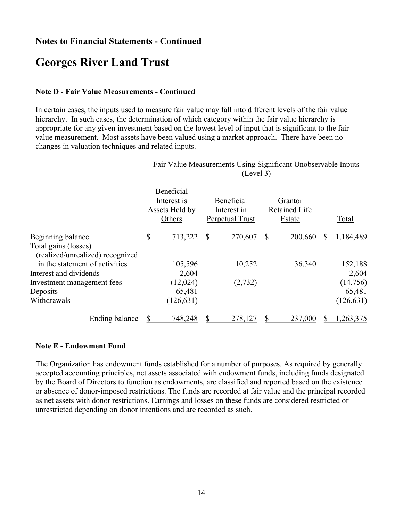## Georges River Land Trust

#### Note D - Fair Value Measurements - Continued

In certain cases, the inputs used to measure fair value may fall into different levels of the fair value hierarchy. In such cases, the determination of which category within the fair value hierarchy is appropriate for any given investment based on the lowest level of input that is significant to the fair value measurement. Most assets have been valued using a market approach. There have been no changes in valuation techniques and related inputs.

|                                                          | Fair Value Measurements Using Significant Unobservable Inputs<br>(Level 3) |                                                       |    |                                              |              |                                           |    |            |
|----------------------------------------------------------|----------------------------------------------------------------------------|-------------------------------------------------------|----|----------------------------------------------|--------------|-------------------------------------------|----|------------|
|                                                          |                                                                            | Beneficial<br>Interest is<br>Assets Held by<br>Others |    | Beneficial<br>Interest in<br>Perpetual Trust |              | Grantor<br><b>Retained Life</b><br>Estate |    | Total      |
| Beginning balance                                        | \$                                                                         | 713,222                                               | \$ | 270,607                                      | $\mathbb{S}$ | 200,660                                   | S  | 1,184,489  |
| Total gains (losses)<br>(realized/unrealized) recognized |                                                                            |                                                       |    |                                              |              |                                           |    |            |
| in the statement of activities                           |                                                                            | 105,596                                               |    | 10,252                                       |              | 36,340                                    |    | 152,188    |
| Interest and dividends                                   |                                                                            | 2,604                                                 |    |                                              |              |                                           |    | 2,604      |
| Investment management fees                               |                                                                            | (12,024)                                              |    | (2,732)                                      |              |                                           |    | (14, 756)  |
| Deposits                                                 |                                                                            | 65,481                                                |    |                                              |              |                                           |    | 65,481     |
| Withdrawals                                              |                                                                            | (126, 631)                                            |    |                                              |              |                                           |    | (126, 631) |
| Ending balance                                           | S                                                                          | 748,248                                               | \$ | 278,127                                      | \$           | 237,000                                   | S. | 1,263,375  |

#### Note E - Endowment Fund

The Organization has endowment funds established for a number of purposes. As required by generally accepted accounting principles, net assets associated with endowment funds, including funds designated by the Board of Directors to function as endowments, are classified and reported based on the existence or absence of donor-imposed restrictions. The funds are recorded at fair value and the principal recorded as net assets with donor restrictions. Earnings and losses on these funds are considered restricted or unrestricted depending on donor intentions and are recorded as such.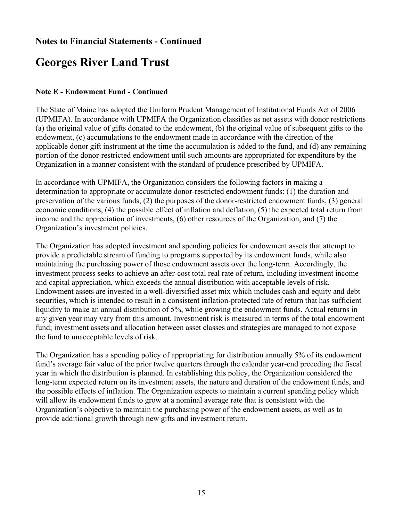## Georges River Land Trust

#### Note E - Endowment Fund - Continued

The State of Maine has adopted the Uniform Prudent Management of Institutional Funds Act of 2006 (UPMIFA). In accordance with UPMIFA the Organization classifies as net assets with donor restrictions (a) the original value of gifts donated to the endowment, (b) the original value of subsequent gifts to the endowment, (c) accumulations to the endowment made in accordance with the direction of the applicable donor gift instrument at the time the accumulation is added to the fund, and (d) any remaining portion of the donor-restricted endowment until such amounts are appropriated for expenditure by the Organization in a manner consistent with the standard of prudence prescribed by UPMIFA.

In accordance with UPMIFA, the Organization considers the following factors in making a determination to appropriate or accumulate donor-restricted endowment funds: (1) the duration and preservation of the various funds, (2) the purposes of the donor-restricted endowment funds, (3) general economic conditions, (4) the possible effect of inflation and deflation, (5) the expected total return from income and the appreciation of investments, (6) other resources of the Organization, and (7) the Organization's investment policies.

The Organization has adopted investment and spending policies for endowment assets that attempt to provide a predictable stream of funding to programs supported by its endowment funds, while also maintaining the purchasing power of those endowment assets over the long-term. Accordingly, the investment process seeks to achieve an after-cost total real rate of return, including investment income and capital appreciation, which exceeds the annual distribution with acceptable levels of risk. Endowment assets are invested in a well-diversified asset mix which includes cash and equity and debt securities, which is intended to result in a consistent inflation-protected rate of return that has sufficient liquidity to make an annual distribution of 5%, while growing the endowment funds. Actual returns in any given year may vary from this amount. Investment risk is measured in terms of the total endowment fund; investment assets and allocation between asset classes and strategies are managed to not expose the fund to unacceptable levels of risk.

The Organization has a spending policy of appropriating for distribution annually 5% of its endowment fund's average fair value of the prior twelve quarters through the calendar year-end preceding the fiscal year in which the distribution is planned. In establishing this policy, the Organization considered the long-term expected return on its investment assets, the nature and duration of the endowment funds, and the possible effects of inflation. The Organization expects to maintain a current spending policy which will allow its endowment funds to grow at a nominal average rate that is consistent with the Organization's objective to maintain the purchasing power of the endowment assets, as well as to provide additional growth through new gifts and investment return.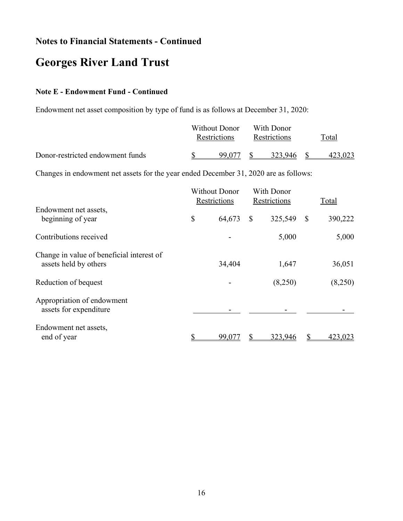## Georges River Land Trust

#### Note E - Endowment Fund - Continued

Endowment net asset composition by type of fund is as follows at December 31, 2020:

|                                  | Without Donor<br><b>Restrictions</b> | With Donor<br>Restrictions | Total |
|----------------------------------|--------------------------------------|----------------------------|-------|
| Donor-restricted endowment funds | 99.077                               | 323.946                    |       |

Changes in endowment net assets for the year ended December 31, 2020 are as follows:

|                                                                    | <b>Without Donor</b><br>Restrictions |        |              | With Donor<br>Restrictions | Total |         |
|--------------------------------------------------------------------|--------------------------------------|--------|--------------|----------------------------|-------|---------|
| Endowment net assets,<br>beginning of year                         | \$                                   | 64,673 | $\mathbb{S}$ | 325,549                    | \$    | 390,222 |
| Contributions received                                             |                                      |        |              | 5,000                      |       | 5,000   |
| Change in value of beneficial interest of<br>assets held by others |                                      | 34,404 |              | 1,647                      |       | 36,051  |
| Reduction of bequest                                               |                                      |        |              | (8,250)                    |       | (8,250) |
| Appropriation of endowment<br>assets for expenditure               |                                      |        |              |                            |       |         |
| Endowment net assets,<br>end of year                               |                                      | 99,077 |              | 323,946                    |       | 423,023 |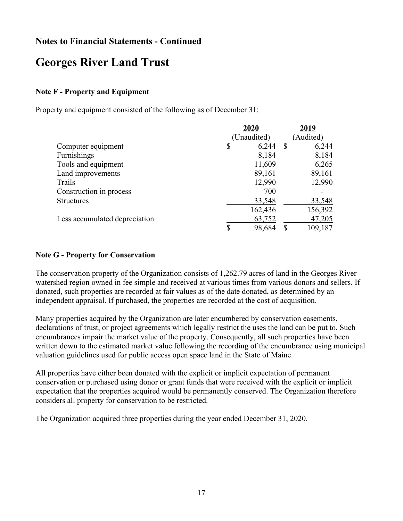## Georges River Land Trust

#### Note F - Property and Equipment

Property and equipment consisted of the following as of December 31:

|                               | 2020 |             |    | 2019      |
|-------------------------------|------|-------------|----|-----------|
|                               |      | (Unaudited) |    | (Audited) |
| Computer equipment            | \$   | 6,244       | -S | 6,244     |
| Furnishings                   |      | 8,184       |    | 8,184     |
| Tools and equipment           |      | 11,609      |    | 6,265     |
| Land improvements             |      | 89,161      |    | 89,161    |
| Trails                        |      | 12,990      |    | 12,990    |
| Construction in process       |      | 700         |    |           |
| <b>Structures</b>             |      | 33,548      |    | 33,548    |
|                               |      | 162,436     |    | 156,392   |
| Less accumulated depreciation |      | 63,752      |    | 47,205    |
|                               |      | 98,684      |    | 109,187   |

#### Note G - Property for Conservation

The conservation property of the Organization consists of 1,262.79 acres of land in the Georges River watershed region owned in fee simple and received at various times from various donors and sellers. If donated, such properties are recorded at fair values as of the date donated, as determined by an independent appraisal. If purchased, the properties are recorded at the cost of acquisition.

Many properties acquired by the Organization are later encumbered by conservation easements, declarations of trust, or project agreements which legally restrict the uses the land can be put to. Such encumbrances impair the market value of the property. Consequently, all such properties have been written down to the estimated market value following the recording of the encumbrance using municipal valuation guidelines used for public access open space land in the State of Maine.

All properties have either been donated with the explicit or implicit expectation of permanent conservation or purchased using donor or grant funds that were received with the explicit or implicit expectation that the properties acquired would be permanently conserved. The Organization therefore considers all property for conservation to be restricted.

The Organization acquired three properties during the year ended December 31, 2020.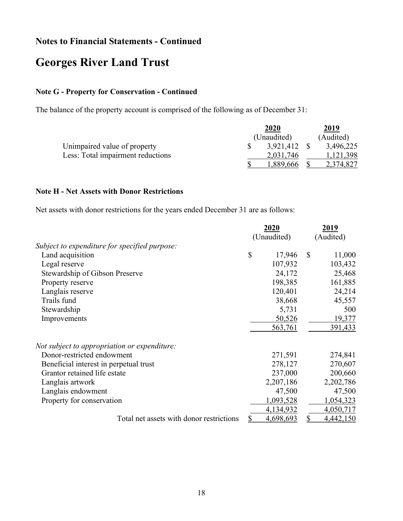## Georges River Land Trust

#### Note G - Property for Conservation - Continued

The balance of the property account is comprised of the following as of December 31:

|                                   |  | 2019         |           |
|-----------------------------------|--|--------------|-----------|
|                                   |  | (Unaudited)  | (Audited) |
| Unimpaired value of property      |  | 3,921,412 \$ | 3,496,225 |
| Less: Total impairment reductions |  | 2,031,746    | 1,121,398 |
|                                   |  | ,889,666     | 2,374,827 |

#### Note H - Net Assets with Donor Restrictions

Net assets with donor restrictions for the years ended December 31 are as follows:

|                                               | 2020 |             | 2019          |           |
|-----------------------------------------------|------|-------------|---------------|-----------|
|                                               |      | (Unaudited) |               | (Audited) |
| Subject to expenditure for specified purpose: |      |             |               |           |
| Land acquisition                              | \$   | 17,946      | <sup>\$</sup> | 11,000    |
| Legal reserve                                 |      | 107,932     |               | 103,432   |
| Stewardship of Gibson Preserve                |      | 24,172      |               | 25,468    |
| Property reserve                              |      | 198,385     |               | 161,885   |
| Langlais reserve                              |      | 120,401     |               | 24,214    |
| Trails fund                                   |      | 38,668      |               | 45,557    |
| Stewardship                                   |      | 5,731       |               | 500       |
| Improvements                                  |      | 50,526      |               | 19,377    |
|                                               |      | 563,761     |               | 391,433   |
| Not subject to appropriation or expenditure:  |      |             |               |           |
| Donor-restricted endowment                    |      | 271,591     |               | 274,841   |
| Beneficial interest in perpetual trust        |      | 278,127     |               | 270,607   |
| Grantor retained life estate                  |      | 237,000     |               | 200,660   |
| Langlais artwork                              |      | 2,207,186   |               | 2,202,786 |
| Langlais endowment                            |      | 47,500      |               | 47,500    |
| Property for conservation                     |      | 1,093,528   |               | 1,054,323 |
|                                               |      | 4,134,932   |               | 4,050,717 |
| Total net assets with donor restrictions      | \$   | 4,698,693   | \$            | 4,442,150 |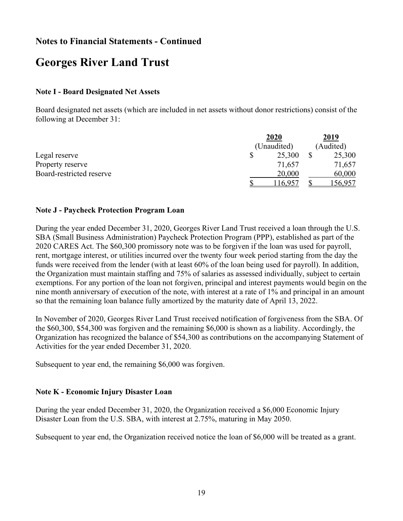## Georges River Land Trust

#### Note I - Board Designated Net Assets

Board designated net assets (which are included in net assets without donor restrictions) consist of the following at December 31:

|                          | 2020        | 2019      |
|--------------------------|-------------|-----------|
|                          | (Unaudited) | (Audited) |
| Legal reserve            | 25,300      | 25,300    |
| Property reserve         | 71,657      | 71,657    |
| Board-restricted reserve | 20,000      | 60,000    |
|                          | 16,957      | .56,957   |

#### Note J - Paycheck Protection Program Loan

During the year ended December 31, 2020, Georges River Land Trust received a loan through the U.S. SBA (Small Business Administration) Paycheck Protection Program (PPP), established as part of the 2020 CARES Act. The \$60,300 promissory note was to be forgiven if the loan was used for payroll, rent, mortgage interest, or utilities incurred over the twenty four week period starting from the day the funds were received from the lender (with at least 60% of the loan being used for payroll). In addition, the Organization must maintain staffing and 75% of salaries as assessed individually, subject to certain exemptions. For any portion of the loan not forgiven, principal and interest payments would begin on the nine month anniversary of execution of the note, with interest at a rate of 1% and principal in an amount so that the remaining loan balance fully amortized by the maturity date of April 13, 2022.

In November of 2020, Georges River Land Trust received notification of forgiveness from the SBA. Of the \$60,300, \$54,300 was forgiven and the remaining \$6,000 is shown as a liability. Accordingly, the Organization has recognized the balance of \$54,300 as contributions on the accompanying Statement of Activities for the year ended December 31, 2020.

Subsequent to year end, the remaining \$6,000 was forgiven.

#### Note K - Economic Injury Disaster Loan

During the year ended December 31, 2020, the Organization received a \$6,000 Economic Injury Disaster Loan from the U.S. SBA, with interest at 2.75%, maturing in May 2050.

Subsequent to year end, the Organization received notice the loan of \$6,000 will be treated as a grant.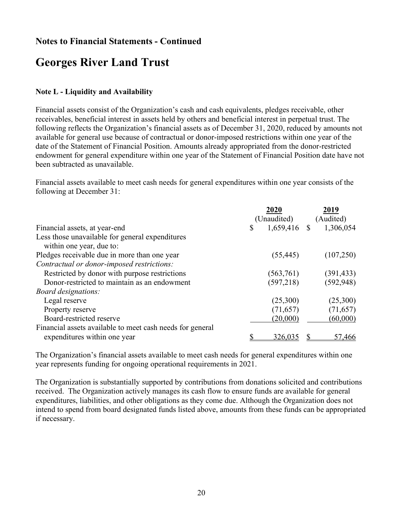## Georges River Land Trust

#### Note L - Liquidity and Availability

Financial assets consist of the Organization's cash and cash equivalents, pledges receivable, other receivables, beneficial interest in assets held by others and beneficial interest in perpetual trust. The following reflects the Organization's financial assets as of December 31, 2020, reduced by amounts not available for general use because of contractual or donor-imposed restrictions within one year of the date of the Statement of Financial Position. Amounts already appropriated from the donor-restricted endowment for general expenditure within one year of the Statement of Financial Position date have not been subtracted as unavailable.

Financial assets available to meet cash needs for general expenditures within one year consists of the following at December 31:

|                                                           | 2020                 | 2019       |  |
|-----------------------------------------------------------|----------------------|------------|--|
|                                                           | (Unaudited)          | (Audited)  |  |
| Financial assets, at year-end                             | $1,659,416$ \$<br>\$ | 1,306,054  |  |
| Less those unavailable for general expenditures           |                      |            |  |
| within one year, due to:                                  |                      |            |  |
| Pledges receivable due in more than one year              | (55, 445)            | (107,250)  |  |
| Contractual or donor-imposed restrictions:                |                      |            |  |
| Restricted by donor with purpose restrictions             | (563,761)            | (391, 433) |  |
| Donor-restricted to maintain as an endowment              | (597, 218)           | (592, 948) |  |
| <i>Board designations:</i>                                |                      |            |  |
| Legal reserve                                             | (25,300)             | (25,300)   |  |
| Property reserve                                          | (71, 657)            | (71, 657)  |  |
| Board-restricted reserve                                  | (20,000)             | (60,000)   |  |
| Financial assets available to meet cash needs for general |                      |            |  |
| expenditures within one year                              | 326,035              | 57,466     |  |

The Organization's financial assets available to meet cash needs for general expenditures within one year represents funding for ongoing operational requirements in 2021.

The Organization is substantially supported by contributions from donations solicited and contributions received. The Organization actively manages its cash flow to ensure funds are available for general expenditures, liabilities, and other obligations as they come due. Although the Organization does not intend to spend from board designated funds listed above, amounts from these funds can be appropriated if necessary.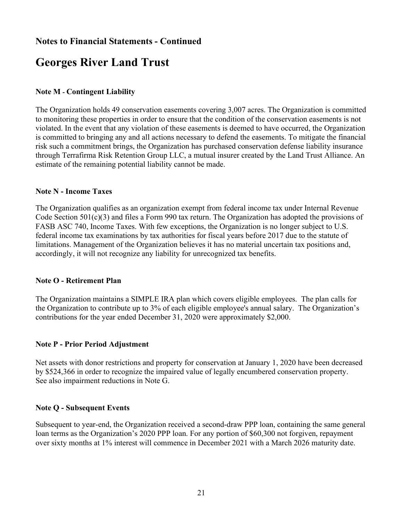## Georges River Land Trust

#### Note M - Contingent Liability

The Organization holds 49 conservation easements covering 3,007 acres. The Organization is committed to monitoring these properties in order to ensure that the condition of the conservation easements is not violated. In the event that any violation of these easements is deemed to have occurred, the Organization is committed to bringing any and all actions necessary to defend the easements. To mitigate the financial risk such a commitment brings, the Organization has purchased conservation defense liability insurance through Terrafirma Risk Retention Group LLC, a mutual insurer created by the Land Trust Alliance. An estimate of the remaining potential liability cannot be made.

#### Note N - Income Taxes

The Organization qualifies as an organization exempt from federal income tax under Internal Revenue Code Section 501(c)(3) and files a Form 990 tax return. The Organization has adopted the provisions of FASB ASC 740, Income Taxes. With few exceptions, the Organization is no longer subject to U.S. federal income tax examinations by tax authorities for fiscal years before 2017 due to the statute of limitations. Management of the Organization believes it has no material uncertain tax positions and, accordingly, it will not recognize any liability for unrecognized tax benefits.

#### Note O - Retirement Plan

The Organization maintains a SIMPLE IRA plan which covers eligible employees. The plan calls for the Organization to contribute up to 3% of each eligible employee's annual salary. The Organization's contributions for the year ended December 31, 2020 were approximately \$2,000.

#### Note P - Prior Period Adjustment

Net assets with donor restrictions and property for conservation at January 1, 2020 have been decreased by \$524,366 in order to recognize the impaired value of legally encumbered conservation property. See also impairment reductions in Note G.

#### Note Q - Subsequent Events

Subsequent to year-end, the Organization received a second-draw PPP loan, containing the same general loan terms as the Organization's 2020 PPP loan. For any portion of \$60,300 not forgiven, repayment over sixty months at 1% interest will commence in December 2021 with a March 2026 maturity date.